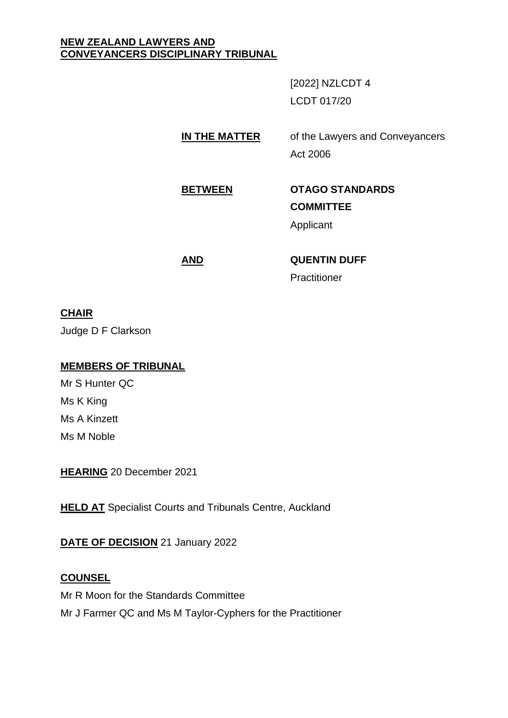## **NEW ZEALAND LAWYERS AND CONVEYANCERS DISCIPLINARY TRIBUNAL**

[2022] NZLCDT 4 LCDT 017/20

**IN THE MATTER** of the Lawyers and Conveyancers Act 2006

**BETWEEN OTAGO STANDARDS COMMITTEE** Applicant

**AND QUENTIN DUFF Practitioner** 

## **CHAIR**

Judge D F Clarkson

## **MEMBERS OF TRIBUNAL**

Mr S Hunter QC Ms K King Ms A Kinzett Ms M Noble

**HEARING** 20 December 2021

**HELD AT** Specialist Courts and Tribunals Centre, Auckland

**DATE OF DECISION** 21 January 2022

# **COUNSEL**

Mr R Moon for the Standards Committee Mr J Farmer QC and Ms M Taylor-Cyphers for the Practitioner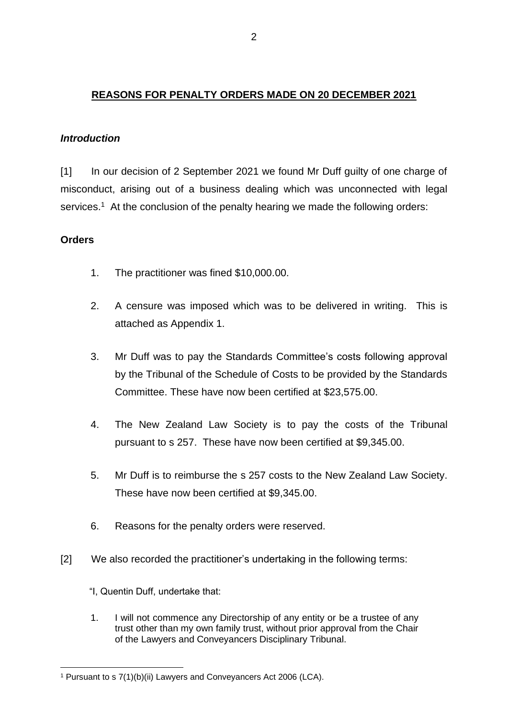## **REASONS FOR PENALTY ORDERS MADE ON 20 DECEMBER 2021**

## *Introduction*

[1] In our decision of 2 September 2021 we found Mr Duff guilty of one charge of misconduct, arising out of a business dealing which was unconnected with legal services.<sup>1</sup> At the conclusion of the penalty hearing we made the following orders:

## **Orders**

- 1. The practitioner was fined \$10,000.00.
- 2. A censure was imposed which was to be delivered in writing. This is attached as Appendix 1.
- 3. Mr Duff was to pay the Standards Committee's costs following approval by the Tribunal of the Schedule of Costs to be provided by the Standards Committee. These have now been certified at \$23,575.00.
- 4. The New Zealand Law Society is to pay the costs of the Tribunal pursuant to s 257. These have now been certified at \$9,345.00.
- 5. Mr Duff is to reimburse the s 257 costs to the New Zealand Law Society. These have now been certified at \$9,345.00.
- 6. Reasons for the penalty orders were reserved.
- [2] We also recorded the practitioner's undertaking in the following terms:
	- "I, Quentin Duff, undertake that:
	- 1. I will not commence any Directorship of any entity or be a trustee of any trust other than my own family trust, without prior approval from the Chair of the Lawyers and Conveyancers Disciplinary Tribunal.

<sup>1</sup> Pursuant to s 7(1)(b)(ii) Lawyers and Conveyancers Act 2006 (LCA).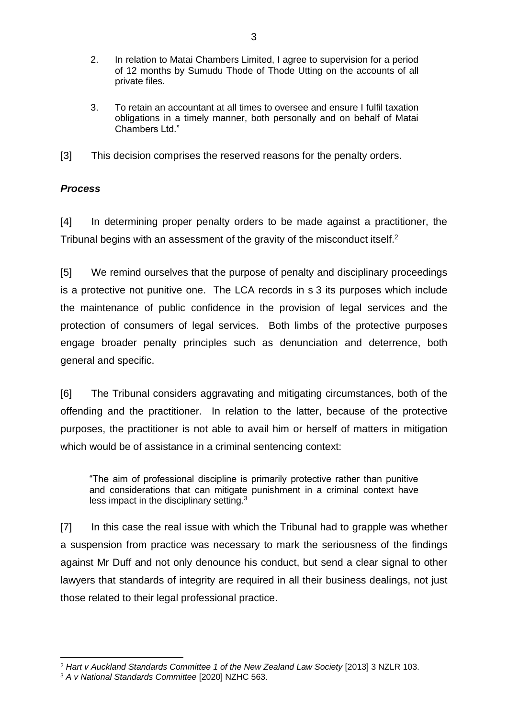- 2. In relation to Matai Chambers Limited, I agree to supervision for a period of 12 months by Sumudu Thode of Thode Utting on the accounts of all private files.
- 3. To retain an accountant at all times to oversee and ensure I fulfil taxation obligations in a timely manner, both personally and on behalf of Matai Chambers Ltd."
- [3] This decision comprises the reserved reasons for the penalty orders.

# *Process*

[4] In determining proper penalty orders to be made against a practitioner, the Tribunal begins with an assessment of the gravity of the misconduct itself.<sup>2</sup>

[5] We remind ourselves that the purpose of penalty and disciplinary proceedings is a protective not punitive one. The LCA records in s 3 its purposes which include the maintenance of public confidence in the provision of legal services and the protection of consumers of legal services. Both limbs of the protective purposes engage broader penalty principles such as denunciation and deterrence, both general and specific.

[6] The Tribunal considers aggravating and mitigating circumstances, both of the offending and the practitioner. In relation to the latter, because of the protective purposes, the practitioner is not able to avail him or herself of matters in mitigation which would be of assistance in a criminal sentencing context:

"The aim of professional discipline is primarily protective rather than punitive and considerations that can mitigate punishment in a criminal context have less impact in the disciplinary setting.<sup>3</sup>

[7] In this case the real issue with which the Tribunal had to grapple was whether a suspension from practice was necessary to mark the seriousness of the findings against Mr Duff and not only denounce his conduct, but send a clear signal to other lawyers that standards of integrity are required in all their business dealings, not just those related to their legal professional practice.

<sup>2</sup> *Hart v Auckland Standards Committee 1 of the New Zealand Law Society* [2013] 3 NZLR 103.

<sup>3</sup> *A v National Standards Committee* [2020] NZHC 563.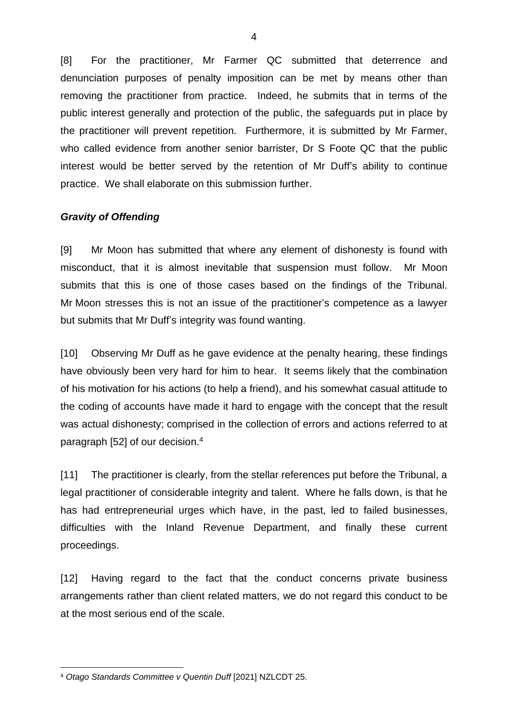[8] For the practitioner, Mr Farmer QC submitted that deterrence and denunciation purposes of penalty imposition can be met by means other than removing the practitioner from practice. Indeed, he submits that in terms of the public interest generally and protection of the public, the safeguards put in place by the practitioner will prevent repetition. Furthermore, it is submitted by Mr Farmer, who called evidence from another senior barrister, Dr S Foote QC that the public interest would be better served by the retention of Mr Duff's ability to continue practice. We shall elaborate on this submission further.

## *Gravity of Offending*

[9] Mr Moon has submitted that where any element of dishonesty is found with misconduct, that it is almost inevitable that suspension must follow. Mr Moon submits that this is one of those cases based on the findings of the Tribunal. Mr Moon stresses this is not an issue of the practitioner's competence as a lawyer but submits that Mr Duff's integrity was found wanting.

[10] Observing Mr Duff as he gave evidence at the penalty hearing, these findings have obviously been very hard for him to hear. It seems likely that the combination of his motivation for his actions (to help a friend), and his somewhat casual attitude to the coding of accounts have made it hard to engage with the concept that the result was actual dishonesty; comprised in the collection of errors and actions referred to at paragraph [52] of our decision.<sup>4</sup>

[11] The practitioner is clearly, from the stellar references put before the Tribunal, a legal practitioner of considerable integrity and talent. Where he falls down, is that he has had entrepreneurial urges which have, in the past, led to failed businesses, difficulties with the Inland Revenue Department, and finally these current proceedings.

[12] Having regard to the fact that the conduct concerns private business arrangements rather than client related matters, we do not regard this conduct to be at the most serious end of the scale.

<sup>4</sup> *Otago Standards Committee v Quentin Duff* [2021] NZLCDT 25.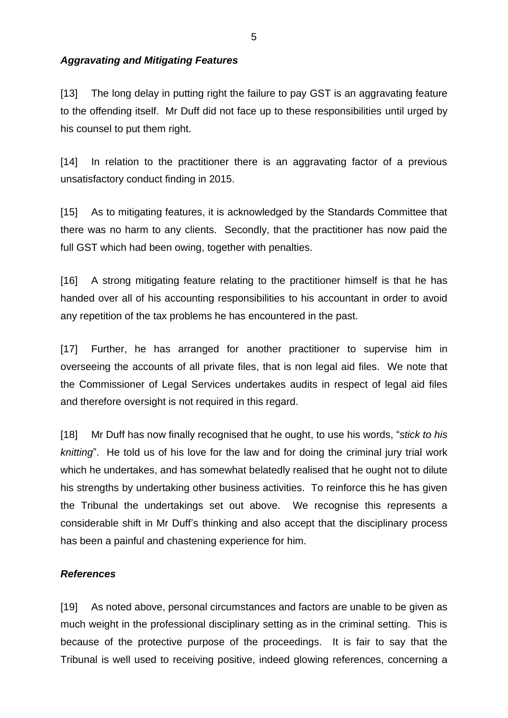## *Aggravating and Mitigating Features*

[13] The long delay in putting right the failure to pay GST is an aggravating feature to the offending itself. Mr Duff did not face up to these responsibilities until urged by his counsel to put them right.

[14] In relation to the practitioner there is an aggravating factor of a previous unsatisfactory conduct finding in 2015.

[15] As to mitigating features, it is acknowledged by the Standards Committee that there was no harm to any clients. Secondly, that the practitioner has now paid the full GST which had been owing, together with penalties.

[16] A strong mitigating feature relating to the practitioner himself is that he has handed over all of his accounting responsibilities to his accountant in order to avoid any repetition of the tax problems he has encountered in the past.

[17] Further, he has arranged for another practitioner to supervise him in overseeing the accounts of all private files, that is non legal aid files. We note that the Commissioner of Legal Services undertakes audits in respect of legal aid files and therefore oversight is not required in this regard.

[18] Mr Duff has now finally recognised that he ought, to use his words, "*stick to his knitting*". He told us of his love for the law and for doing the criminal jury trial work which he undertakes, and has somewhat belatedly realised that he ought not to dilute his strengths by undertaking other business activities. To reinforce this he has given the Tribunal the undertakings set out above. We recognise this represents a considerable shift in Mr Duff's thinking and also accept that the disciplinary process has been a painful and chastening experience for him.

#### *References*

[19] As noted above, personal circumstances and factors are unable to be given as much weight in the professional disciplinary setting as in the criminal setting. This is because of the protective purpose of the proceedings. It is fair to say that the Tribunal is well used to receiving positive, indeed glowing references, concerning a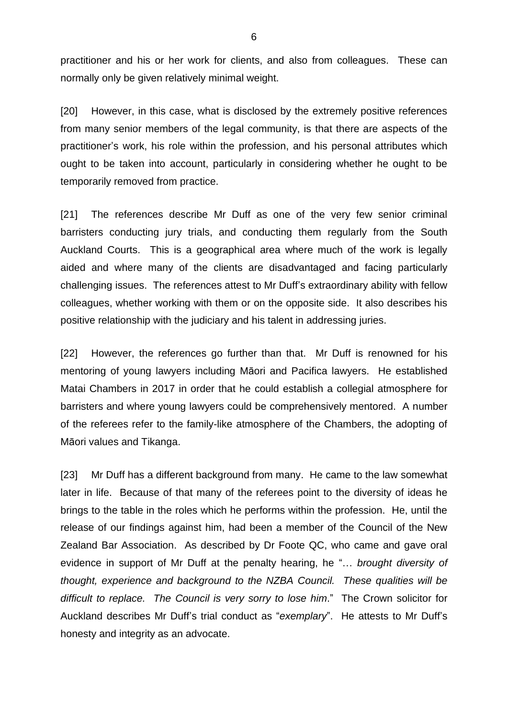practitioner and his or her work for clients, and also from colleagues. These can normally only be given relatively minimal weight.

[20] However, in this case, what is disclosed by the extremely positive references from many senior members of the legal community, is that there are aspects of the practitioner's work, his role within the profession, and his personal attributes which ought to be taken into account, particularly in considering whether he ought to be temporarily removed from practice.

[21] The references describe Mr Duff as one of the very few senior criminal barristers conducting jury trials, and conducting them regularly from the South Auckland Courts. This is a geographical area where much of the work is legally aided and where many of the clients are disadvantaged and facing particularly challenging issues. The references attest to Mr Duff's extraordinary ability with fellow colleagues, whether working with them or on the opposite side. It also describes his positive relationship with the judiciary and his talent in addressing juries.

[22] However, the references go further than that. Mr Duff is renowned for his mentoring of young lawyers including Māori and Pacifica lawyers. He established Matai Chambers in 2017 in order that he could establish a collegial atmosphere for barristers and where young lawyers could be comprehensively mentored. A number of the referees refer to the family-like atmosphere of the Chambers, the adopting of Māori values and Tikanga.

[23] Mr Duff has a different background from many. He came to the law somewhat later in life. Because of that many of the referees point to the diversity of ideas he brings to the table in the roles which he performs within the profession. He, until the release of our findings against him, had been a member of the Council of the New Zealand Bar Association. As described by Dr Foote QC, who came and gave oral evidence in support of Mr Duff at the penalty hearing, he "… *brought diversity of thought, experience and background to the NZBA Council. These qualities will be difficult to replace. The Council is very sorry to lose him*." The Crown solicitor for Auckland describes Mr Duff's trial conduct as "*exemplary*". He attests to Mr Duff's honesty and integrity as an advocate.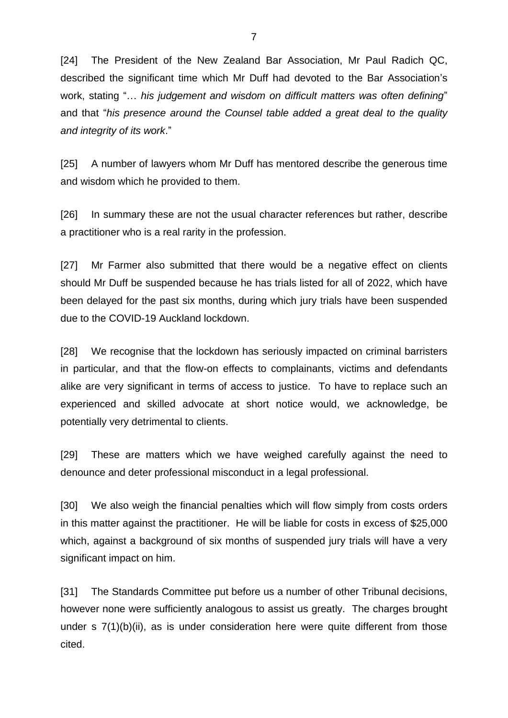[24] The President of the New Zealand Bar Association, Mr Paul Radich QC, described the significant time which Mr Duff had devoted to the Bar Association's work, stating "… *his judgement and wisdom on difficult matters was often defining*" and that "*his presence around the Counsel table added a great deal to the quality and integrity of its work*."

[25] A number of lawyers whom Mr Duff has mentored describe the generous time and wisdom which he provided to them.

[26] In summary these are not the usual character references but rather, describe a practitioner who is a real rarity in the profession.

[27] Mr Farmer also submitted that there would be a negative effect on clients should Mr Duff be suspended because he has trials listed for all of 2022, which have been delayed for the past six months, during which jury trials have been suspended due to the COVID-19 Auckland lockdown.

[28] We recognise that the lockdown has seriously impacted on criminal barristers in particular, and that the flow-on effects to complainants, victims and defendants alike are very significant in terms of access to justice. To have to replace such an experienced and skilled advocate at short notice would, we acknowledge, be potentially very detrimental to clients.

[29] These are matters which we have weighed carefully against the need to denounce and deter professional misconduct in a legal professional.

[30] We also weigh the financial penalties which will flow simply from costs orders in this matter against the practitioner. He will be liable for costs in excess of \$25,000 which, against a background of six months of suspended jury trials will have a very significant impact on him.

[31] The Standards Committee put before us a number of other Tribunal decisions, however none were sufficiently analogous to assist us greatly. The charges brought under s  $7(1)(b)(ii)$ , as is under consideration here were quite different from those cited.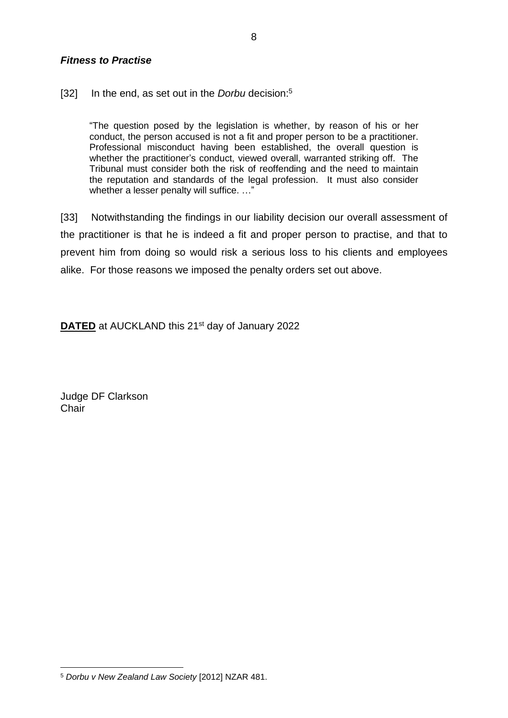## *Fitness to Practise*

[32] In the end, as set out in the *Dorbu* decision: 5

"The question posed by the legislation is whether, by reason of his or her conduct, the person accused is not a fit and proper person to be a practitioner. Professional misconduct having been established, the overall question is whether the practitioner's conduct, viewed overall, warranted striking off. The Tribunal must consider both the risk of reoffending and the need to maintain the reputation and standards of the legal profession. It must also consider whether a lesser penalty will suffice. ..."

[33] Notwithstanding the findings in our liability decision our overall assessment of the practitioner is that he is indeed a fit and proper person to practise, and that to prevent him from doing so would risk a serious loss to his clients and employees alike. For those reasons we imposed the penalty orders set out above.

**DATED** at AUCKLAND this 21<sup>st</sup> day of January 2022

Judge DF Clarkson **Chair** 

<sup>5</sup> *Dorbu v New Zealand Law Society* [2012] NZAR 481.